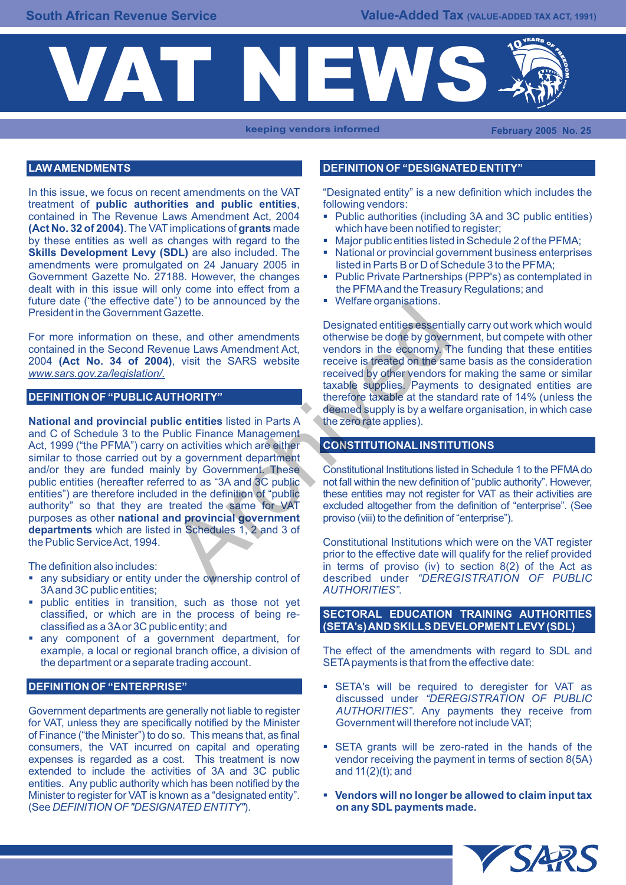

**keeping vendors informed February 2005 No. 25** 

In this issue, we focus on recent amendments on the VAT "Designated entity" is a new definition which includes the treatment of **public authorities and public entities**. following vendors: treatment of **public authorities and public entities**, following vendors: contained in The Revenue Laws Amendment Act, 2004 • Public authorities (including 3A and (Act No. 32 of 2004). The VAT implications of grants made which have been notified to register; **(Act No. 32 of 2004)**. The VAT implications of **grants** made which have been notified to register; by these entities as well as changes with regard to the **Skills Development Levy (SDL)** are also included. The **Exercise Alterator Provincial government business enterprises amendments were promulgated on 24 January 2005 in listed in Parts B or D of Schedule 3 to the PFMA;** amendments were promulgated on 24 January 2005 in listed in Parts B or D of Schedule 3 to the PFMA;<br>Government Gazette No. 27188. However, the changes **·** Public Private Partnerships (PPP's) as contemplated in Government Gazette No. 27188. However, the changes dealt with in this issue will only come into effect from a the PFMA and the Treasury Regulations; and future date "the effective date") to be announced by the  $\bullet$  Welfare organisations. future date ("the effective date") to be announced by the President in the Government Gazette.

For more information on these, and other amendments otherwise be done by government, but compete with other contained in the Second Revenue Laws Amendment Act, vendors in the economy. The funding that these entities 2004 (Act No. 34 of 2004), visit the SARS website receive is treated on the same basis as the consideration 2004 **(Act No. 34 of 2004)**, visit the SARS website *www.sars.gov.za/legislation/.* received by other vendors for making the same or similar

## **DEFINITION OF "PUBLIC AUTHORITY"**

**National and provincial public entities** listed in Parts A the zero rate applies). and C of Schedule 3 to the Public Finance Management Act, 1999 ("the PFMA") carry on activities which are either similar to those carried out by a government department and/or they are funded mainly by Government. These Constitutional Institutions listed in Schedule 1 to the PFMA do public entities (hereafter referred to as "3A and 3C public not fall within the new definition of "public authority". However, entities") are therefore included in the definition of "public these entities may not register entities") are therefore included in the definition of "public" these entities may not register for VAT as their activities are authority" so that they are treated the same for VAT excluded altogether from the definition o authority" so that they are treated the same for VAT excluded altogether from the definition of "purposes as other **national and provincial government** proviso (viii) to the definition of "enterprise"). purposes as other **national and provincial government departments** which are listed in Schedules 1, 2 and 3 of the Public Service Act, 1994. Constitutional Institutions which were on the VAT register Example the ventilations.<br>
Sazette.<br>
Designated entities essentiations.<br>
Sazette.<br>
Designated entities essentiations.<br>
The SARS website<br>
received by other vendors in the economy. The received on the same<br>
received by other

- **any subsidiary or entity under the ownership control of described under** *AUTHORITIES***<sup>"</sup>.**  $3A$  and  $3C$  public entities;
- public entities in transition, such as those not yet classified, or which are in the process of being reclassified as a 3A or 3C public entity; and
- § any component of a government department, for the department or a separate trading account. SETA payments is that from the effective date:

## **DEFINITION OF "ENTERPRISE"**

Government departments are generally not liable to register *AUTHORITIES"*. Any payments they receive from for VAT, unless they are specifically notified by the Minister Government will therefore not include VAT; of Finance ("the Minister") to do so. This means that, as final consumers, the VAT incurred on capital and operating • SETA grants will be zero-rated in the hands of the expenses is regarded as a cost. This treatment is now vendor receiving the payment in terms of section 8(5A) extended to include the activities of 3A and 3C public and 11(2)(t); and entities. Any public authority which has been notified by the Minister to register for VAT is known as a "designated entity". **vendors will no longer be allowed to claim input tax Summer input tax on any SDL payments made.** (See *DEFINITION OF "DESIGNATED ENTITY"*).

# **LAW AMENDMENTS DEFINITION OF "DESIGNATED ENTITY"**

- 
- 
- 
- 
- 

Designated entities essentially carry out work which would taxable supplies. Payments to designated entities are therefore taxable at the standard rate of 14% (unless the deemed supply is by a welfare organisation, in which case

## **CONSTITUTIONAL INSTITUTIONS**

prior to the effective date will qualify for the relief provided The definition also includes:<br>
• any subsidiary or entity under the ownership control of described under "DEREGISTRATION OF PUBLIC

## **SECTORAL EDUCATION TRAINING AUTHORITIES (SETA's) AND SKILLS DEVELOPMENT LEVY (SDL)**

example, a local or regional branch office, a division of The effect of the amendments with regard to SDL and

- **SETA's will be required to deregister for VAT as** discussed under *"DEREGISTRATION OF PUBLIC*
- 
-